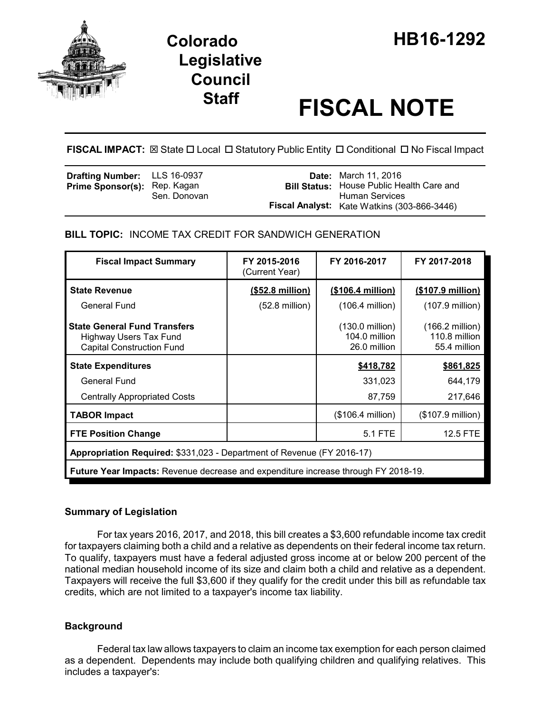

# **Staff FISCAL NOTE**

**FISCAL IMPACT:** ⊠ State □ Local □ Statutory Public Entity □ Conditional □ No Fiscal Impact

| <b>Drafting Number:</b> LLS 16-0937<br><b>Prime Sponsor(s): Rep. Kagan</b> | Sen. Donovan | <b>Date:</b> March 11, 2016<br><b>Bill Status:</b> House Public Health Care and<br>Human Services |
|----------------------------------------------------------------------------|--------------|---------------------------------------------------------------------------------------------------|
|                                                                            |              | <b>Fiscal Analyst:</b> Kate Watkins (303-866-3446)                                                |

# **BILL TOPIC:** INCOME TAX CREDIT FOR SANDWICH GENERATION

| <b>Fiscal Impact Summary</b>                                                                      | FY 2015-2016<br>(Current Year) | FY 2016-2017                                               | FY 2017-2018                                               |  |  |
|---------------------------------------------------------------------------------------------------|--------------------------------|------------------------------------------------------------|------------------------------------------------------------|--|--|
| <b>State Revenue</b>                                                                              | $($ \$52.8 million $)$         | <u>(\$106.4 million)</u>                                   | $($107.9 \text{ million})$                                 |  |  |
| General Fund                                                                                      | $(52.8 \text{ million})$       | $(106.4$ million)                                          | $(107.9 \text{ million})$                                  |  |  |
| <b>State General Fund Transfers</b><br>Highway Users Tax Fund<br><b>Capital Construction Fund</b> |                                | $(130.0 \text{ million})$<br>104.0 million<br>26.0 million | $(166.2 \text{ million})$<br>110.8 million<br>55.4 million |  |  |
| \$418,782<br>\$861,825<br><b>State Expenditures</b>                                               |                                |                                                            |                                                            |  |  |
| General Fund<br>331,023<br>644,179                                                                |                                |                                                            |                                                            |  |  |
| <b>Centrally Appropriated Costs</b>                                                               |                                | 87,759                                                     | 217,646                                                    |  |  |
| <b>TABOR Impact</b>                                                                               |                                | $($106.4 \text{ million})$                                 | (\$107.9 million)                                          |  |  |
| <b>FTE Position Change</b>                                                                        |                                | 5.1 FTE                                                    | 12.5 FTE                                                   |  |  |
| Appropriation Required: \$331,023 - Department of Revenue (FY 2016-17)                            |                                |                                                            |                                                            |  |  |
| <b>Future Year Impacts:</b> Revenue decrease and expenditure increase through FY 2018-19.         |                                |                                                            |                                                            |  |  |

# **Summary of Legislation**

For tax years 2016, 2017, and 2018, this bill creates a \$3,600 refundable income tax credit for taxpayers claiming both a child and a relative as dependents on their federal income tax return. To qualify, taxpayers must have a federal adjusted gross income at or below 200 percent of the national median household income of its size and claim both a child and relative as a dependent. Taxpayers will receive the full \$3,600 if they qualify for the credit under this bill as refundable tax credits, which are not limited to a taxpayer's income tax liability.

# **Background**

Federal tax law allows taxpayers to claim an income tax exemption for each person claimed as a dependent. Dependents may include both qualifying children and qualifying relatives. This includes a taxpayer's: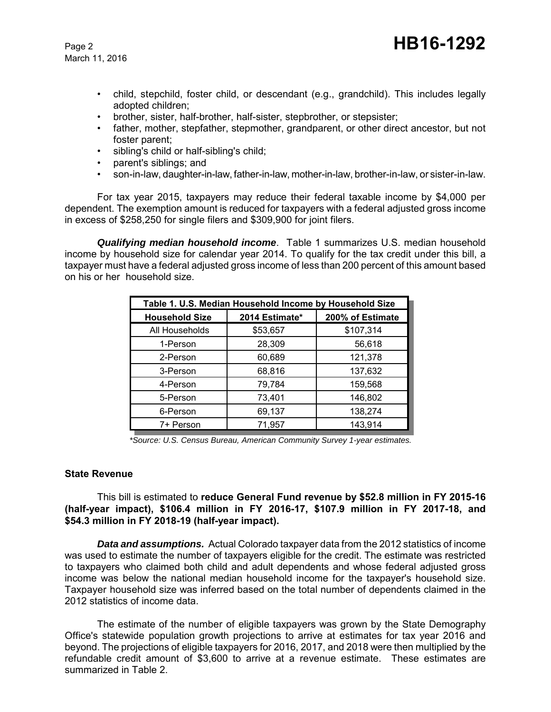March 11, 2016

- child, stepchild, foster child, or descendant (e.g., grandchild). This includes legally adopted children;
- brother, sister, half-brother, half-sister, stepbrother, or stepsister;
- father, mother, stepfather, stepmother, grandparent, or other direct ancestor, but not foster parent;
- sibling's child or half-sibling's child;
- parent's siblings; and
- son-in-law, daughter-in-law, father-in-law, mother-in-law, brother-in-law, or sister-in-law.

For tax year 2015, taxpayers may reduce their federal taxable income by \$4,000 per dependent. The exemption amount is reduced for taxpayers with a federal adjusted gross income in excess of \$258,250 for single filers and \$309,900 for joint filers.

*Qualifying median household income*. Table 1 summarizes U.S. median household income by household size for calendar year 2014. To qualify for the tax credit under this bill, a taxpayer must have a federal adjusted gross income of less than 200 percent of this amount based on his or her household size.

| Table 1. U.S. Median Household Income by Household Size |                |                  |  |
|---------------------------------------------------------|----------------|------------------|--|
| <b>Household Size</b>                                   | 2014 Estimate* | 200% of Estimate |  |
| All Households                                          | \$53,657       | \$107,314        |  |
| 1-Person                                                | 28,309         | 56,618           |  |
| 2-Person                                                | 60,689         | 121,378          |  |
| 3-Person                                                | 68,816         | 137,632          |  |
| 4-Person                                                | 79,784         | 159,568          |  |
| 5-Person                                                | 73,401         | 146,802          |  |
| 6-Person                                                | 69,137         | 138,274          |  |
| 7+ Person                                               | 71.957         | 143,914          |  |

*\*Source: U.S. Census Bureau, American Community Survey 1-year estimates.*

#### **State Revenue**

This bill is estimated to **reduce General Fund revenue by \$52.8 million in FY 2015-16 (half-year impact), \$106.4 million in FY 2016-17, \$107.9 million in FY 2017-18, and \$54.3 million in FY 2018-19 (half-year impact).**

*Data and assumptions.* Actual Colorado taxpayer data from the 2012 statistics of income was used to estimate the number of taxpayers eligible for the credit. The estimate was restricted to taxpayers who claimed both child and adult dependents and whose federal adjusted gross income was below the national median household income for the taxpayer's household size. Taxpayer household size was inferred based on the total number of dependents claimed in the 2012 statistics of income data.

The estimate of the number of eligible taxpayers was grown by the State Demography Office's statewide population growth projections to arrive at estimates for tax year 2016 and beyond. The projections of eligible taxpayers for 2016, 2017, and 2018 were then multiplied by the refundable credit amount of \$3,600 to arrive at a revenue estimate. These estimates are summarized in Table 2.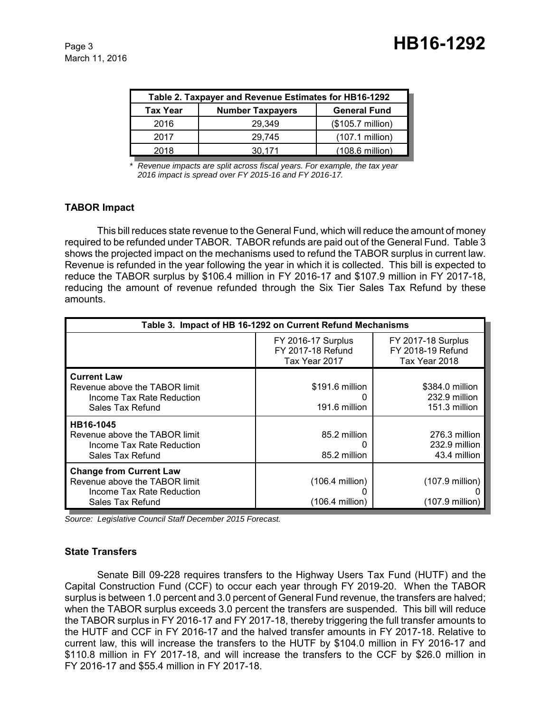March 11, 2016

| <b>Number Taxpayers</b><br><b>General Fund</b><br><b>Tax Year</b><br>(\$105.7 million)<br>2016<br>29.349 | Table 2. Taxpayer and Revenue Estimates for HB16-1292 |        |                   |  |
|----------------------------------------------------------------------------------------------------------|-------------------------------------------------------|--------|-------------------|--|
|                                                                                                          |                                                       |        |                   |  |
|                                                                                                          |                                                       |        |                   |  |
|                                                                                                          | 2017                                                  | 29.745 | $(107.1$ million) |  |
| $(108.6 \text{ million})$<br>2018<br>30.171                                                              |                                                       |        |                   |  |

*\* Revenue impacts are split across fiscal years. For example, the tax year 2016 impact is spread over FY 2015-16 and FY 2016-17.*

# **TABOR Impact**

This bill reduces state revenue to the General Fund, which will reduce the amount of money required to be refunded under TABOR. TABOR refunds are paid out of the General Fund. Table 3 shows the projected impact on the mechanisms used to refund the TABOR surplus in current law. Revenue is refunded in the year following the year in which it is collected. This bill is expected to reduce the TABOR surplus by \$106.4 million in FY 2016-17 and \$107.9 million in FY 2017-18, reducing the amount of revenue refunded through the Six Tier Sales Tax Refund by these amounts.

| Table 3. Impact of HB 16-1292 on Current Refund Mechanisms                                                       |                                                                 |                                                                 |  |
|------------------------------------------------------------------------------------------------------------------|-----------------------------------------------------------------|-----------------------------------------------------------------|--|
|                                                                                                                  | <b>FY 2016-17 Surplus</b><br>FY 2017-18 Refund<br>Tax Year 2017 | <b>FY 2017-18 Surplus</b><br>FY 2018-19 Refund<br>Tax Year 2018 |  |
| <b>Current Law</b><br>Revenue above the TABOR limit<br>Income Tax Rate Reduction<br>Sales Tax Refund             | \$191.6 million<br>191.6 million                                | \$384.0 million<br>232.9 million<br>151.3 million               |  |
| HB16-1045<br>Revenue above the TABOR limit<br>Income Tax Rate Reduction<br>Sales Tax Refund                      | 85.2 million<br>85.2 million                                    | 276.3 million<br>232.9 million<br>43.4 million                  |  |
| <b>Change from Current Law</b><br>Revenue above the TABOR limit<br>Income Tax Rate Reduction<br>Sales Tax Refund | $(106.4 \text{ million})$<br>(106.4 million)                    | (107.9 million)<br>(107.9 million)                              |  |

*Source: Legislative Council Staff December 2015 Forecast.*

#### **State Transfers**

Senate Bill 09-228 requires transfers to the Highway Users Tax Fund (HUTF) and the Capital Construction Fund (CCF) to occur each year through FY 2019-20. When the TABOR surplus is between 1.0 percent and 3.0 percent of General Fund revenue, the transfers are halved; when the TABOR surplus exceeds 3.0 percent the transfers are suspended. This bill will reduce the TABOR surplus in FY 2016-17 and FY 2017-18, thereby triggering the full transfer amounts to the HUTF and CCF in FY 2016-17 and the halved transfer amounts in FY 2017-18. Relative to current law, this will increase the transfers to the HUTF by \$104.0 million in FY 2016-17 and \$110.8 million in FY 2017-18, and will increase the transfers to the CCF by \$26.0 million in FY 2016-17 and \$55.4 million in FY 2017-18.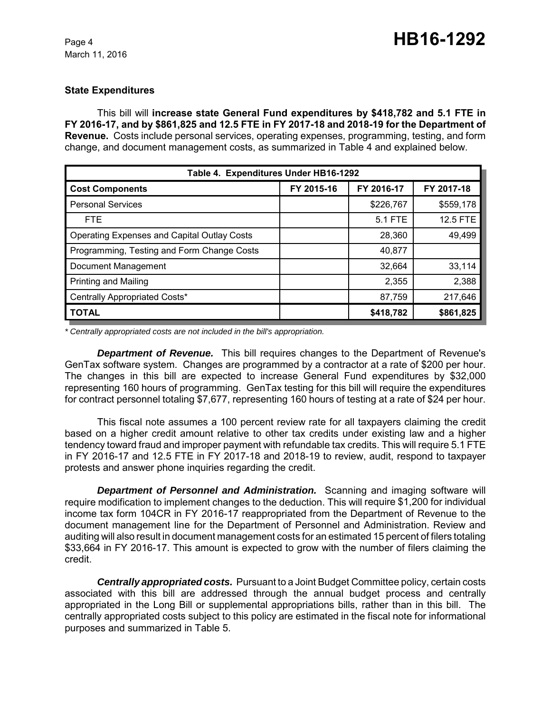#### **State Expenditures**

This bill will **increase state General Fund expenditures by \$418,782 and 5.1 FTE in FY 2016-17, and by \$861,825 and 12.5 FTE in FY 2017-18 and 2018-19 for the Department of Revenue.** Costs include personal services, operating expenses, programming, testing, and form change, and document management costs, as summarized in Table 4 and explained below.

| Table 4. Expenditures Under HB16-1292              |            |            |                 |
|----------------------------------------------------|------------|------------|-----------------|
| <b>Cost Components</b>                             | FY 2015-16 | FY 2016-17 | FY 2017-18      |
| <b>Personal Services</b>                           |            | \$226,767  | \$559,178       |
| FTE.                                               |            | 5.1 FTE    | <b>12.5 FTE</b> |
| <b>Operating Expenses and Capital Outlay Costs</b> |            | 28,360     | 49,499          |
| Programming, Testing and Form Change Costs         |            | 40,877     |                 |
| Document Management                                |            | 32,664     | 33,114          |
| <b>Printing and Mailing</b>                        |            | 2,355      | 2,388           |
| Centrally Appropriated Costs*                      |            | 87,759     | 217,646         |
| <b>TOTAL</b>                                       |            | \$418,782  | \$861,825       |

*\* Centrally appropriated costs are not included in the bill's appropriation.*

*Department of Revenue.* This bill requires changes to the Department of Revenue's GenTax software system. Changes are programmed by a contractor at a rate of \$200 per hour. The changes in this bill are expected to increase General Fund expenditures by \$32,000 representing 160 hours of programming. GenTax testing for this bill will require the expenditures for contract personnel totaling \$7,677, representing 160 hours of testing at a rate of \$24 per hour.

This fiscal note assumes a 100 percent review rate for all taxpayers claiming the credit based on a higher credit amount relative to other tax credits under existing law and a higher tendency toward fraud and improper payment with refundable tax credits. This will require 5.1 FTE in FY 2016-17 and 12.5 FTE in FY 2017-18 and 2018-19 to review, audit, respond to taxpayer protests and answer phone inquiries regarding the credit.

*Department of Personnel and Administration.* Scanning and imaging software will require modification to implement changes to the deduction. This will require \$1,200 for individual income tax form 104CR in FY 2016-17 reappropriated from the Department of Revenue to the document management line for the Department of Personnel and Administration. Review and auditing will also result in document management costs for an estimated 15 percent of filers totaling \$33,664 in FY 2016-17. This amount is expected to grow with the number of filers claiming the credit.

*Centrally appropriated costs.* Pursuant to a Joint Budget Committee policy, certain costs associated with this bill are addressed through the annual budget process and centrally appropriated in the Long Bill or supplemental appropriations bills, rather than in this bill. The centrally appropriated costs subject to this policy are estimated in the fiscal note for informational purposes and summarized in Table 5.